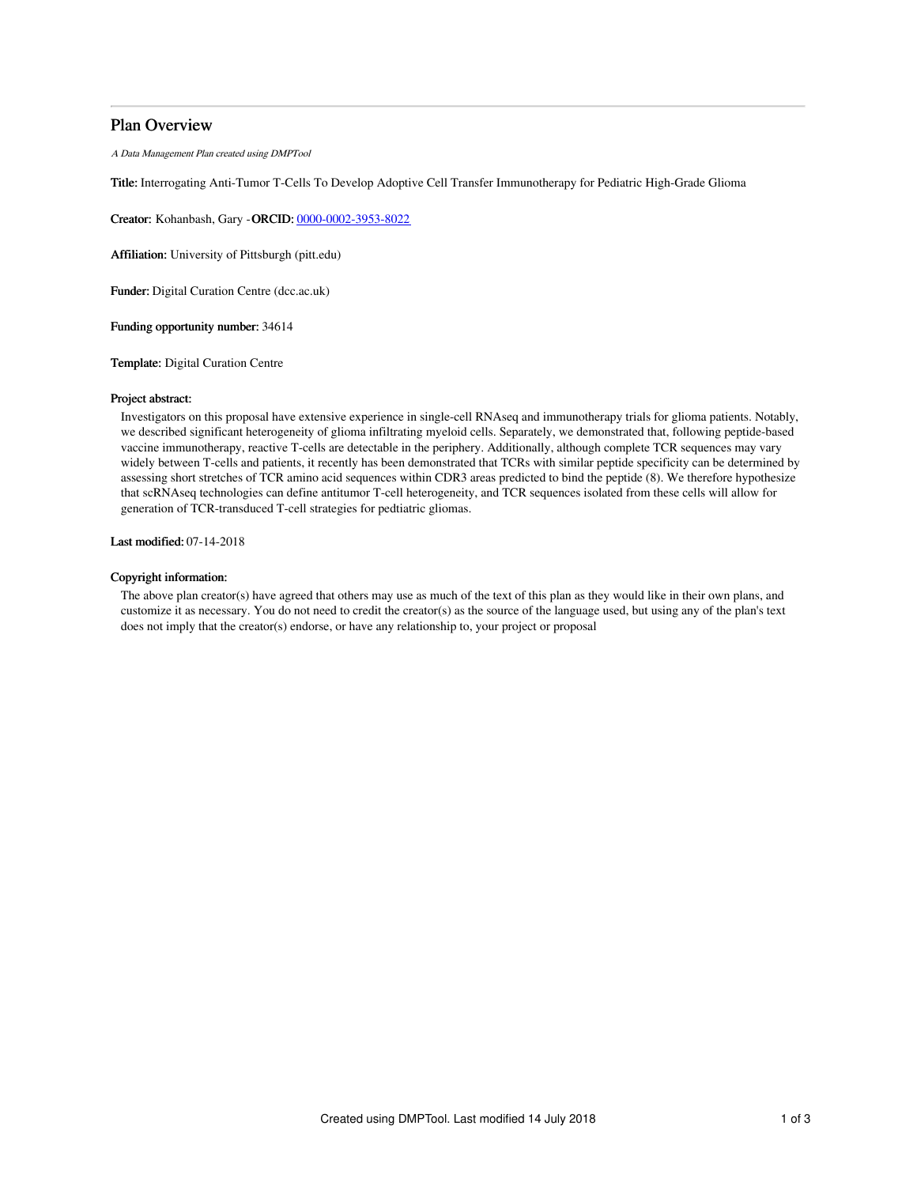# Plan Overview

A Data Management Plan created using DMPTool

Title: Interrogating Anti-Tumor T-Cells To Develop Adoptive Cell Transfer Immunotherapy for Pediatric High-Grade Glioma

Creator: Kohanbash, Gary -ORCID: [0000-0002-3953-8022](https://orcid.org/0000-0002-3953-8022)

Affiliation: University of Pittsburgh (pitt.edu)

Funder: Digital Curation Centre (dcc.ac.uk)

Funding opportunity number: 34614

Template: Digital Curation Centre

#### Project abstract:

Investigators on this proposal have extensive experience in single-cell RNAseq and immunotherapy trials for glioma patients. Notably, we described significant heterogeneity of glioma infiltrating myeloid cells. Separately, we demonstrated that, following peptide-based vaccine immunotherapy, reactive T-cells are detectable in the periphery. Additionally, although complete TCR sequences may vary widely between T-cells and patients, it recently has been demonstrated that TCRs with similar peptide specificity can be determined by assessing short stretches of TCR amino acid sequences within CDR3 areas predicted to bind the peptide (8). We therefore hypothesize that scRNAseq technologies can define antitumor T-cell heterogeneity, and TCR sequences isolated from these cells will allow for generation of TCR-transduced T-cell strategies for pedtiatric gliomas.

Last modified: 07-14-2018

### Copyright information:

The above plan creator(s) have agreed that others may use as much of the text of this plan as they would like in their own plans, and customize it as necessary. You do not need to credit the creator(s) as the source of the language used, but using any of the plan's text does not imply that the creator(s) endorse, or have any relationship to, your project or proposal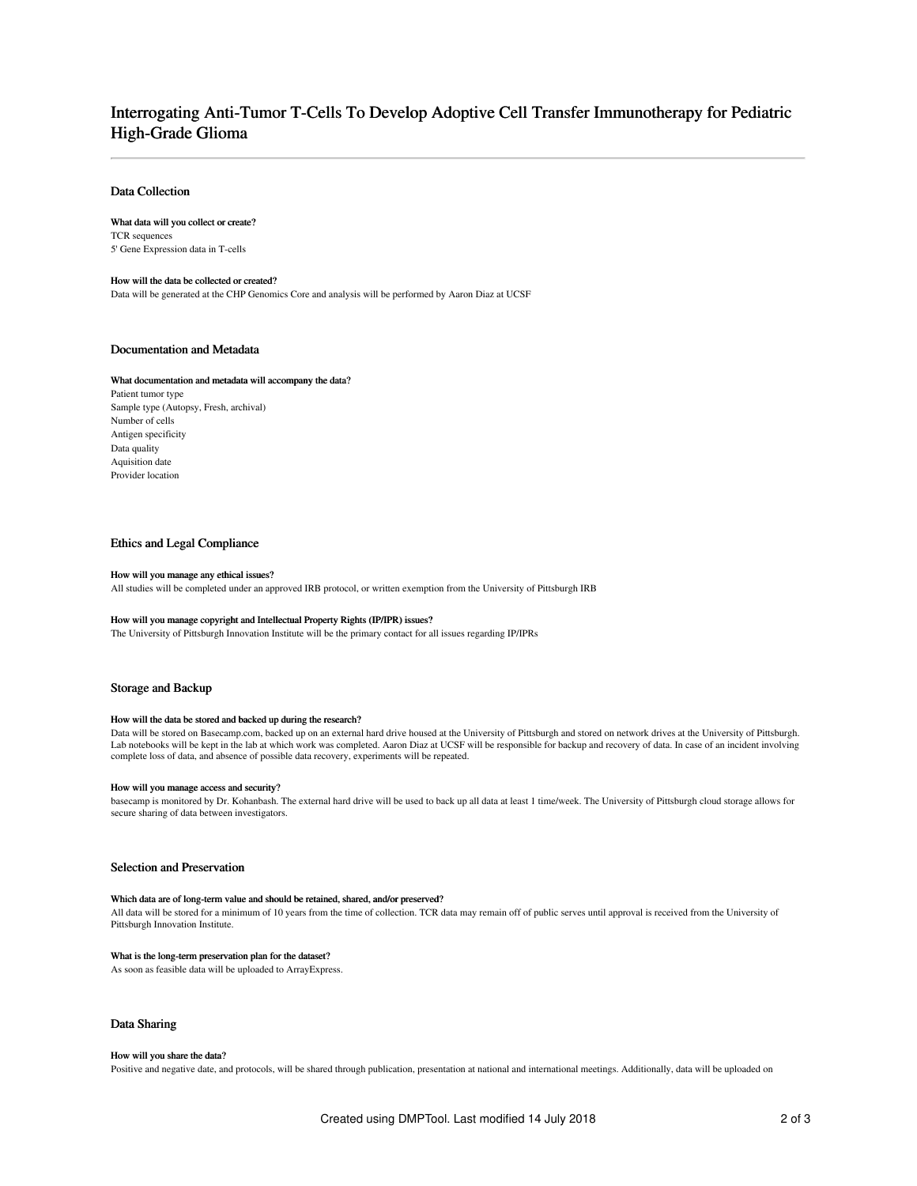# Interrogating Anti-Tumor T-Cells To Develop Adoptive Cell Transfer Immunotherapy for Pediatric High-Grade Glioma

### Data Collection

#### What data will you collect or create?

TCR sequences 5' Gene Expression data in T-cells

#### How will the data be collected or created?

Data will be generated at the CHP Genomics Core and analysis will be performed by Aaron Diaz at UCSF

### Documentation and Metadata

#### What documentation and metadata will accompany the data?

Patient tumor type Sample type (Autopsy, Fresh, archival) Number of cells Antigen specificity Data quality Aquisition date Provider location

### Ethics and Legal Compliance

#### How will you manage any ethical issues?

All studies will be completed under an approved IRB protocol, or written exemption from the University of Pittsburgh IRB

#### How will you manage copyright and Intellectual Property Rights (IP/IPR) issues?

The University of Pittsburgh Innovation Institute will be the primary contact for all issues regarding IP/IPRs

### Storage and Backup

#### How will the data be stored and backed up during the research?

Data will be stored on Basecamp.com, backed up on an external hard drive housed at the University of Pittsburgh and stored on network drives at the University of Pittsburgh. Lab notebooks will be kept in the lab at which work was completed. Aaron Diaz at UCSF will be responsible for backup and recovery of data. In case of an incident involving complete loss of data, and absence of possible data recovery, experiments will be repeated.

#### How will you manage access and security?

basecamp is monitored by Dr. Kohanbash. The external hard drive will be used to back up all data at least 1 time/week. The University of Pittsburgh cloud storage allows for secure sharing of data between investigators.

### Selection and Preservation

#### Which data are of long-term value and should be retained, shared, and/or preserved?

All data will be stored for a minimum of 10 years from the time of collection. TCR data may remain off of public serves until approval is received from the University of Pittsburgh Innovation Institute.

#### What is the long-term preservation plan for the dataset?

As soon as feasible data will be uploaded to ArrayExpress.

### Data Sharing

#### How will you share the data?

Positive and negative date, and protocols, will be shared through publication, presentation at national and international meetings. Additionally, data will be uploaded on